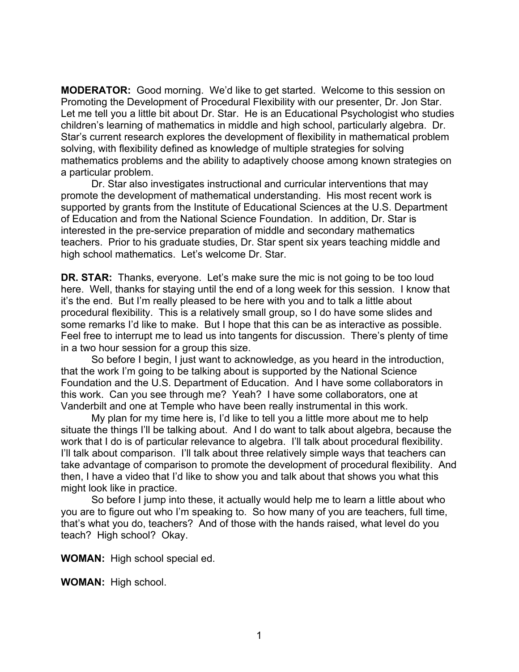**MODERATOR:** Good morning. We'd like to get started. Welcome to this session on Promoting the Development of Procedural Flexibility with our presenter, Dr. Jon Star. Let me tell you a little bit about Dr. Star. He is an Educational Psychologist who studies children's learning of mathematics in middle and high school, particularly algebra. Dr. Star's current research explores the development of flexibility in mathematical problem solving, with flexibility defined as knowledge of multiple strategies for solving mathematics problems and the ability to adaptively choose among known strategies on a particular problem.

Dr. Star also investigates instructional and curricular interventions that may promote the development of mathematical understanding. His most recent work is supported by grants from the Institute of Educational Sciences at the U.S. Department of Education and from the National Science Foundation. In addition, Dr. Star is interested in the pre-service preparation of middle and secondary mathematics teachers. Prior to his graduate studies, Dr. Star spent six years teaching middle and high school mathematics. Let's welcome Dr. Star.

**DR. STAR:** Thanks, everyone. Let's make sure the mic is not going to be too loud here. Well, thanks for staying until the end of a long week for this session. I know that it's the end. But I'm really pleased to be here with you and to talk a little about procedural flexibility. This is a relatively small group, so I do have some slides and some remarks I'd like to make. But I hope that this can be as interactive as possible. Feel free to interrupt me to lead us into tangents for discussion. There's plenty of time in a two hour session for a group this size.

So before I begin, I just want to acknowledge, as you heard in the introduction, that the work I'm going to be talking about is supported by the National Science Foundation and the U.S. Department of Education. And I have some collaborators in this work. Can you see through me? Yeah? I have some collaborators, one at Vanderbilt and one at Temple who have been really instrumental in this work.

My plan for my time here is, I'd like to tell you a little more about me to help situate the things I'll be talking about. And I do want to talk about algebra, because the work that I do is of particular relevance to algebra. I'll talk about procedural flexibility. I'll talk about comparison. I'll talk about three relatively simple ways that teachers can take advantage of comparison to promote the development of procedural flexibility. And then, I have a video that I'd like to show you and talk about that shows you what this might look like in practice.

So before I jump into these, it actually would help me to learn a little about who you are to figure out who I'm speaking to. So how many of you are teachers, full time, that's what you do, teachers? And of those with the hands raised, what level do you teach? High school? Okay.

**WOMAN:** High school special ed.

**WOMAN:** High school.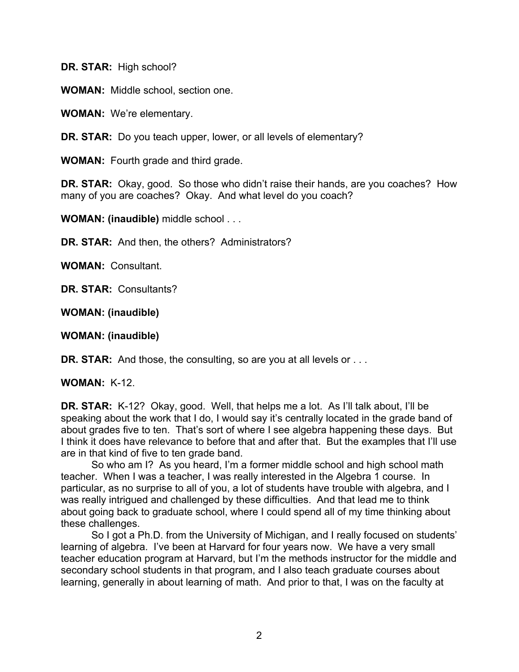**DR. STAR:** High school?

**WOMAN:** Middle school, section one.

**WOMAN:** We're elementary.

**DR. STAR:** Do you teach upper, lower, or all levels of elementary?

**WOMAN:** Fourth grade and third grade.

**DR. STAR:** Okay, good. So those who didn't raise their hands, are you coaches? How many of you are coaches? Okay. And what level do you coach?

**WOMAN: (inaudible)** middle school . . .

**DR. STAR:** And then, the others? Administrators?

**WOMAN:** Consultant.

**DR. STAR:** Consultants?

**WOMAN: (inaudible)**

**WOMAN: (inaudible)**

**DR. STAR:** And those, the consulting, so are you at all levels or . . .

**WOMAN:** K-12.

**DR. STAR:** K-12? Okay, good. Well, that helps me a lot. As I'll talk about, I'll be speaking about the work that I do, I would say it's centrally located in the grade band of about grades five to ten. That's sort of where I see algebra happening these days. But I think it does have relevance to before that and after that. But the examples that I'll use are in that kind of five to ten grade band.

So who am I? As you heard, I'm a former middle school and high school math teacher. When I was a teacher, I was really interested in the Algebra 1 course. In particular, as no surprise to all of you, a lot of students have trouble with algebra, and I was really intrigued and challenged by these difficulties. And that lead me to think about going back to graduate school, where I could spend all of my time thinking about these challenges.

So I got a Ph.D. from the University of Michigan, and I really focused on students' learning of algebra. I've been at Harvard for four years now. We have a very small teacher education program at Harvard, but I'm the methods instructor for the middle and secondary school students in that program, and I also teach graduate courses about learning, generally in about learning of math. And prior to that, I was on the faculty at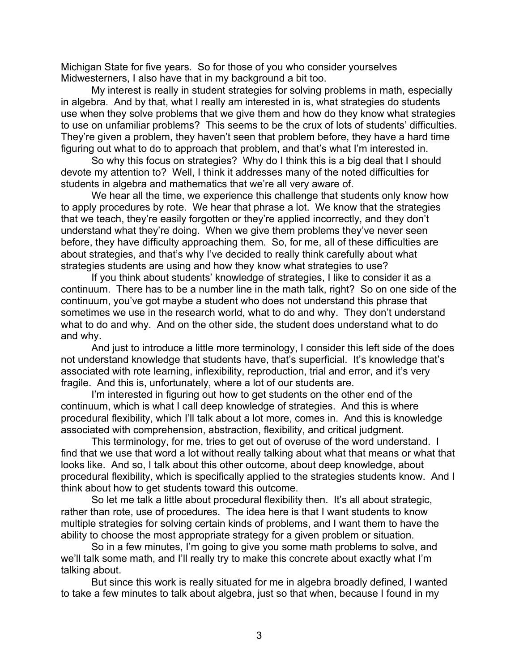Michigan State for five years. So for those of you who consider yourselves Midwesterners, I also have that in my background a bit too.

My interest is really in student strategies for solving problems in math, especially in algebra. And by that, what I really am interested in is, what strategies do students use when they solve problems that we give them and how do they know what strategies to use on unfamiliar problems? This seems to be the crux of lots of students' difficulties. They're given a problem, they haven't seen that problem before, they have a hard time figuring out what to do to approach that problem, and that's what I'm interested in.

So why this focus on strategies? Why do I think this is a big deal that I should devote my attention to? Well, I think it addresses many of the noted difficulties for students in algebra and mathematics that we're all very aware of.

We hear all the time, we experience this challenge that students only know how to apply procedures by rote. We hear that phrase a lot. We know that the strategies that we teach, they're easily forgotten or they're applied incorrectly, and they don't understand what they're doing. When we give them problems they've never seen before, they have difficulty approaching them. So, for me, all of these difficulties are about strategies, and that's why I've decided to really think carefully about what strategies students are using and how they know what strategies to use?

If you think about students' knowledge of strategies, I like to consider it as a continuum. There has to be a number line in the math talk, right? So on one side of the continuum, you've got maybe a student who does not understand this phrase that sometimes we use in the research world, what to do and why. They don't understand what to do and why. And on the other side, the student does understand what to do and why.

And just to introduce a little more terminology, I consider this left side of the does not understand knowledge that students have, that's superficial. It's knowledge that's associated with rote learning, inflexibility, reproduction, trial and error, and it's very fragile. And this is, unfortunately, where a lot of our students are.

I'm interested in figuring out how to get students on the other end of the continuum, which is what I call deep knowledge of strategies. And this is where procedural flexibility, which I'll talk about a lot more, comes in. And this is knowledge associated with comprehension, abstraction, flexibility, and critical judgment.

This terminology, for me, tries to get out of overuse of the word understand. I find that we use that word a lot without really talking about what that means or what that looks like. And so, I talk about this other outcome, about deep knowledge, about procedural flexibility, which is specifically applied to the strategies students know. And I think about how to get students toward this outcome.

So let me talk a little about procedural flexibility then. It's all about strategic, rather than rote, use of procedures. The idea here is that I want students to know multiple strategies for solving certain kinds of problems, and I want them to have the ability to choose the most appropriate strategy for a given problem or situation.

So in a few minutes, I'm going to give you some math problems to solve, and we'll talk some math, and I'll really try to make this concrete about exactly what I'm talking about.

But since this work is really situated for me in algebra broadly defined, I wanted to take a few minutes to talk about algebra, just so that when, because I found in my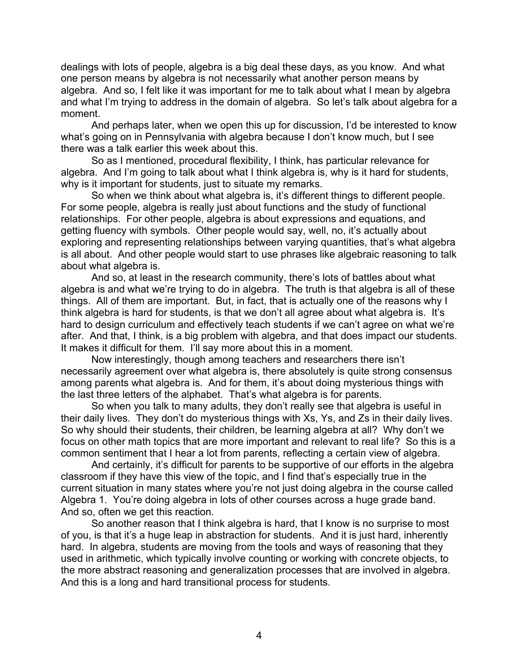dealings with lots of people, algebra is a big deal these days, as you know. And what one person means by algebra is not necessarily what another person means by algebra. And so, I felt like it was important for me to talk about what I mean by algebra and what I'm trying to address in the domain of algebra. So let's talk about algebra for a moment.

And perhaps later, when we open this up for discussion, I'd be interested to know what's going on in Pennsylvania with algebra because I don't know much, but I see there was a talk earlier this week about this.

So as I mentioned, procedural flexibility, I think, has particular relevance for algebra. And I'm going to talk about what I think algebra is, why is it hard for students, why is it important for students, just to situate my remarks.

So when we think about what algebra is, it's different things to different people. For some people, algebra is really just about functions and the study of functional relationships. For other people, algebra is about expressions and equations, and getting fluency with symbols. Other people would say, well, no, it's actually about exploring and representing relationships between varying quantities, that's what algebra is all about. And other people would start to use phrases like algebraic reasoning to talk about what algebra is.

And so, at least in the research community, there's lots of battles about what algebra is and what we're trying to do in algebra. The truth is that algebra is all of these things. All of them are important. But, in fact, that is actually one of the reasons why I think algebra is hard for students, is that we don't all agree about what algebra is. It's hard to design curriculum and effectively teach students if we can't agree on what we're after. And that, I think, is a big problem with algebra, and that does impact our students. It makes it difficult for them. I'll say more about this in a moment.

Now interestingly, though among teachers and researchers there isn't necessarily agreement over what algebra is, there absolutely is quite strong consensus among parents what algebra is. And for them, it's about doing mysterious things with the last three letters of the alphabet. That's what algebra is for parents.

So when you talk to many adults, they don't really see that algebra is useful in their daily lives. They don't do mysterious things with Xs, Ys, and Zs in their daily lives. So why should their students, their children, be learning algebra at all? Why don't we focus on other math topics that are more important and relevant to real life? So this is a common sentiment that I hear a lot from parents, reflecting a certain view of algebra.

And certainly, it's difficult for parents to be supportive of our efforts in the algebra classroom if they have this view of the topic, and I find that's especially true in the current situation in many states where you're not just doing algebra in the course called Algebra 1. You're doing algebra in lots of other courses across a huge grade band. And so, often we get this reaction.

So another reason that I think algebra is hard, that I know is no surprise to most of you, is that it's a huge leap in abstraction for students. And it is just hard, inherently hard. In algebra, students are moving from the tools and ways of reasoning that they used in arithmetic, which typically involve counting or working with concrete objects, to the more abstract reasoning and generalization processes that are involved in algebra. And this is a long and hard transitional process for students.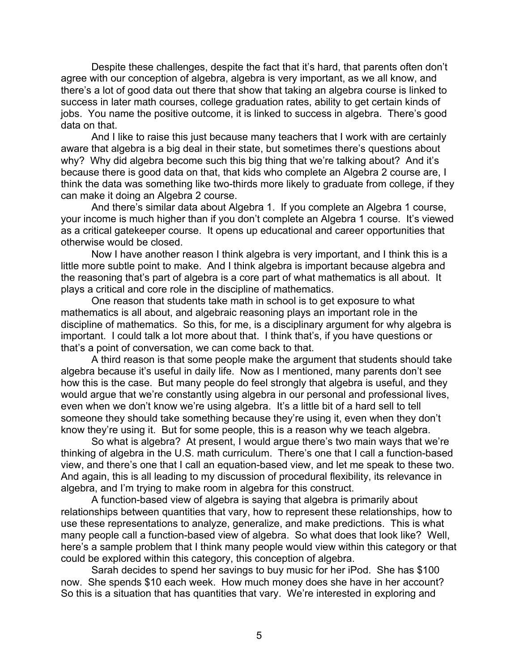Despite these challenges, despite the fact that it's hard, that parents often don't agree with our conception of algebra, algebra is very important, as we all know, and there's a lot of good data out there that show that taking an algebra course is linked to success in later math courses, college graduation rates, ability to get certain kinds of jobs. You name the positive outcome, it is linked to success in algebra. There's good data on that.

And I like to raise this just because many teachers that I work with are certainly aware that algebra is a big deal in their state, but sometimes there's questions about why? Why did algebra become such this big thing that we're talking about? And it's because there is good data on that, that kids who complete an Algebra 2 course are, I think the data was something like two-thirds more likely to graduate from college, if they can make it doing an Algebra 2 course.

And there's similar data about Algebra 1. If you complete an Algebra 1 course, your income is much higher than if you don't complete an Algebra 1 course. It's viewed as a critical gatekeeper course. It opens up educational and career opportunities that otherwise would be closed.

Now I have another reason I think algebra is very important, and I think this is a little more subtle point to make. And I think algebra is important because algebra and the reasoning that's part of algebra is a core part of what mathematics is all about. It plays a critical and core role in the discipline of mathematics.

One reason that students take math in school is to get exposure to what mathematics is all about, and algebraic reasoning plays an important role in the discipline of mathematics. So this, for me, is a disciplinary argument for why algebra is important. I could talk a lot more about that. I think that's, if you have questions or that's a point of conversation, we can come back to that.

A third reason is that some people make the argument that students should take algebra because it's useful in daily life. Now as I mentioned, many parents don't see how this is the case. But many people do feel strongly that algebra is useful, and they would argue that we're constantly using algebra in our personal and professional lives, even when we don't know we're using algebra. It's a little bit of a hard sell to tell someone they should take something because they're using it, even when they don't know they're using it. But for some people, this is a reason why we teach algebra.

So what is algebra? At present, I would argue there's two main ways that we're thinking of algebra in the U.S. math curriculum. There's one that I call a function-based view, and there's one that I call an equation-based view, and let me speak to these two. And again, this is all leading to my discussion of procedural flexibility, its relevance in algebra, and I'm trying to make room in algebra for this construct.

A function-based view of algebra is saying that algebra is primarily about relationships between quantities that vary, how to represent these relationships, how to use these representations to analyze, generalize, and make predictions. This is what many people call a function-based view of algebra. So what does that look like? Well, here's a sample problem that I think many people would view within this category or that could be explored within this category, this conception of algebra.

Sarah decides to spend her savings to buy music for her iPod. She has \$100 now. She spends \$10 each week. How much money does she have in her account? So this is a situation that has quantities that vary. We're interested in exploring and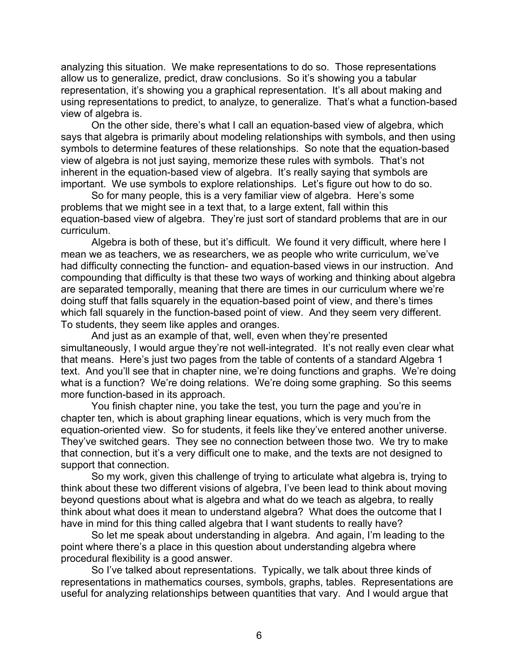analyzing this situation. We make representations to do so. Those representations allow us to generalize, predict, draw conclusions. So it's showing you a tabular representation, it's showing you a graphical representation. It's all about making and using representations to predict, to analyze, to generalize. That's what a function-based view of algebra is.

On the other side, there's what I call an equation-based view of algebra, which says that algebra is primarily about modeling relationships with symbols, and then using symbols to determine features of these relationships. So note that the equation-based view of algebra is not just saying, memorize these rules with symbols. That's not inherent in the equation-based view of algebra. It's really saying that symbols are important. We use symbols to explore relationships. Let's figure out how to do so.

So for many people, this is a very familiar view of algebra. Here's some problems that we might see in a text that, to a large extent, fall within this equation-based view of algebra. They're just sort of standard problems that are in our curriculum.

Algebra is both of these, but it's difficult. We found it very difficult, where here I mean we as teachers, we as researchers, we as people who write curriculum, we've had difficulty connecting the function- and equation-based views in our instruction. And compounding that difficulty is that these two ways of working and thinking about algebra are separated temporally, meaning that there are times in our curriculum where we're doing stuff that falls squarely in the equation-based point of view, and there's times which fall squarely in the function-based point of view. And they seem very different. To students, they seem like apples and oranges.

And just as an example of that, well, even when they're presented simultaneously, I would argue they're not well-integrated. It's not really even clear what that means. Here's just two pages from the table of contents of a standard Algebra 1 text. And you'll see that in chapter nine, we're doing functions and graphs. We're doing what is a function? We're doing relations. We're doing some graphing. So this seems more function-based in its approach.

You finish chapter nine, you take the test, you turn the page and you're in chapter ten, which is about graphing linear equations, which is very much from the equation-oriented view. So for students, it feels like they've entered another universe. They've switched gears. They see no connection between those two. We try to make that connection, but it's a very difficult one to make, and the texts are not designed to support that connection.

So my work, given this challenge of trying to articulate what algebra is, trying to think about these two different visions of algebra, I've been lead to think about moving beyond questions about what is algebra and what do we teach as algebra, to really think about what does it mean to understand algebra? What does the outcome that I have in mind for this thing called algebra that I want students to really have?

So let me speak about understanding in algebra. And again, I'm leading to the point where there's a place in this question about understanding algebra where procedural flexibility is a good answer.

So I've talked about representations. Typically, we talk about three kinds of representations in mathematics courses, symbols, graphs, tables. Representations are useful for analyzing relationships between quantities that vary. And I would argue that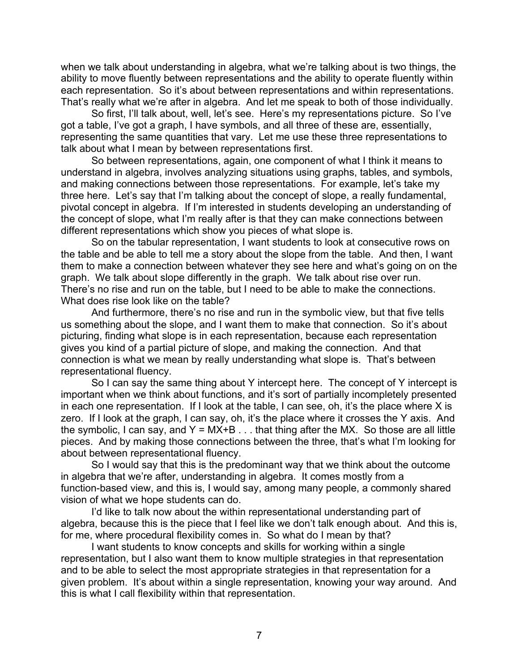when we talk about understanding in algebra, what we're talking about is two things, the ability to move fluently between representations and the ability to operate fluently within each representation. So it's about between representations and within representations. That's really what we're after in algebra. And let me speak to both of those individually.

So first, I'll talk about, well, let's see. Here's my representations picture. So I've got a table, I've got a graph, I have symbols, and all three of these are, essentially, representing the same quantities that vary. Let me use these three representations to talk about what I mean by between representations first.

So between representations, again, one component of what I think it means to understand in algebra, involves analyzing situations using graphs, tables, and symbols, and making connections between those representations. For example, let's take my three here. Let's say that I'm talking about the concept of slope, a really fundamental, pivotal concept in algebra. If I'm interested in students developing an understanding of the concept of slope, what I'm really after is that they can make connections between different representations which show you pieces of what slope is.

So on the tabular representation, I want students to look at consecutive rows on the table and be able to tell me a story about the slope from the table. And then, I want them to make a connection between whatever they see here and what's going on on the graph. We talk about slope differently in the graph. We talk about rise over run. There's no rise and run on the table, but I need to be able to make the connections. What does rise look like on the table?

And furthermore, there's no rise and run in the symbolic view, but that five tells us something about the slope, and I want them to make that connection. So it's about picturing, finding what slope is in each representation, because each representation gives you kind of a partial picture of slope, and making the connection. And that connection is what we mean by really understanding what slope is. That's between representational fluency.

So I can say the same thing about Y intercept here. The concept of Y intercept is important when we think about functions, and it's sort of partially incompletely presented in each one representation. If I look at the table, I can see, oh, it's the place where X is zero. If I look at the graph, I can say, oh, it's the place where it crosses the Y axis. And the symbolic, I can say, and  $Y = MX+B...$  that thing after the MX. So those are all little pieces. And by making those connections between the three, that's what I'm looking for about between representational fluency.

So I would say that this is the predominant way that we think about the outcome in algebra that we're after, understanding in algebra. It comes mostly from a function-based view, and this is, I would say, among many people, a commonly shared vision of what we hope students can do.

I'd like to talk now about the within representational understanding part of algebra, because this is the piece that I feel like we don't talk enough about. And this is, for me, where procedural flexibility comes in. So what do I mean by that?

I want students to know concepts and skills for working within a single representation, but I also want them to know multiple strategies in that representation and to be able to select the most appropriate strategies in that representation for a given problem. It's about within a single representation, knowing your way around. And this is what I call flexibility within that representation.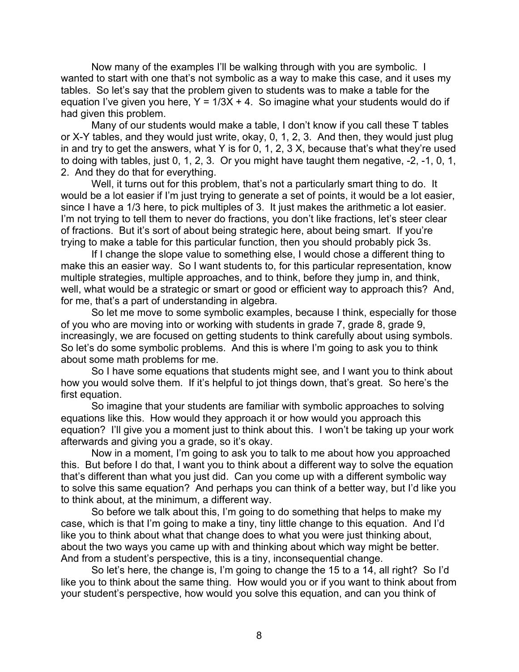Now many of the examples I'll be walking through with you are symbolic. I wanted to start with one that's not symbolic as a way to make this case, and it uses my tables. So let's say that the problem given to students was to make a table for the equation I've given you here,  $Y = 1/3X + 4$ . So imagine what your students would do if had given this problem.

Many of our students would make a table, I don't know if you call these T tables or X-Y tables, and they would just write, okay, 0, 1, 2, 3. And then, they would just plug in and try to get the answers, what Y is for 0, 1, 2, 3 X, because that's what they're used to doing with tables, just 0, 1, 2, 3. Or you might have taught them negative, -2, -1, 0, 1, 2. And they do that for everything.

Well, it turns out for this problem, that's not a particularly smart thing to do. It would be a lot easier if I'm just trying to generate a set of points, it would be a lot easier, since I have a 1/3 here, to pick multiples of 3. It just makes the arithmetic a lot easier. I'm not trying to tell them to never do fractions, you don't like fractions, let's steer clear of fractions. But it's sort of about being strategic here, about being smart. If you're trying to make a table for this particular function, then you should probably pick 3s.

If I change the slope value to something else, I would chose a different thing to make this an easier way. So I want students to, for this particular representation, know multiple strategies, multiple approaches, and to think, before they jump in, and think, well, what would be a strategic or smart or good or efficient way to approach this? And, for me, that's a part of understanding in algebra.

So let me move to some symbolic examples, because I think, especially for those of you who are moving into or working with students in grade 7, grade 8, grade 9, increasingly, we are focused on getting students to think carefully about using symbols. So let's do some symbolic problems. And this is where I'm going to ask you to think about some math problems for me.

So I have some equations that students might see, and I want you to think about how you would solve them. If it's helpful to jot things down, that's great. So here's the first equation.

So imagine that your students are familiar with symbolic approaches to solving equations like this. How would they approach it or how would you approach this equation? I'll give you a moment just to think about this. I won't be taking up your work afterwards and giving you a grade, so it's okay.

Now in a moment, I'm going to ask you to talk to me about how you approached this. But before I do that, I want you to think about a different way to solve the equation that's different than what you just did. Can you come up with a different symbolic way to solve this same equation? And perhaps you can think of a better way, but I'd like you to think about, at the minimum, a different way.

So before we talk about this, I'm going to do something that helps to make my case, which is that I'm going to make a tiny, tiny little change to this equation. And I'd like you to think about what that change does to what you were just thinking about, about the two ways you came up with and thinking about which way might be better. And from a student's perspective, this is a tiny, inconsequential change.

So let's here, the change is, I'm going to change the 15 to a 14, all right? So I'd like you to think about the same thing. How would you or if you want to think about from your student's perspective, how would you solve this equation, and can you think of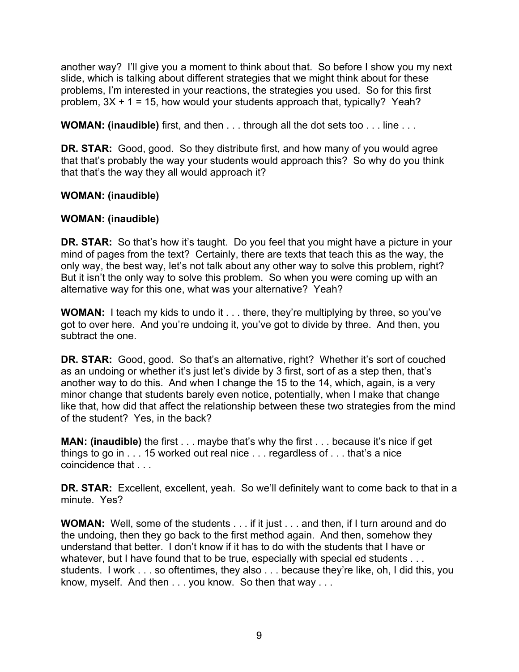another way? I'll give you a moment to think about that. So before I show you my next slide, which is talking about different strategies that we might think about for these problems, I'm interested in your reactions, the strategies you used. So for this first problem,  $3X + 1 = 15$ , how would your students approach that, typically? Yeah?

**WOMAN: (inaudible)** first, and then . . . through all the dot sets too . . . line . . .

**DR. STAR:** Good, good. So they distribute first, and how many of you would agree that that's probably the way your students would approach this? So why do you think that that's the way they all would approach it?

# **WOMAN: (inaudible)**

# **WOMAN: (inaudible)**

**DR. STAR:** So that's how it's taught. Do you feel that you might have a picture in your mind of pages from the text? Certainly, there are texts that teach this as the way, the only way, the best way, let's not talk about any other way to solve this problem, right? But it isn't the only way to solve this problem. So when you were coming up with an alternative way for this one, what was your alternative? Yeah?

**WOMAN:** I teach my kids to undo it . . . there, they're multiplying by three, so you've got to over here. And you're undoing it, you've got to divide by three. And then, you subtract the one.

**DR. STAR:** Good, good. So that's an alternative, right? Whether it's sort of couched as an undoing or whether it's just let's divide by 3 first, sort of as a step then, that's another way to do this. And when I change the 15 to the 14, which, again, is a very minor change that students barely even notice, potentially, when I make that change like that, how did that affect the relationship between these two strategies from the mind of the student? Yes, in the back?

**MAN: (inaudible)** the first . . . maybe that's why the first . . . because it's nice if get things to go in . . . 15 worked out real nice . . . regardless of . . . that's a nice coincidence that . . .

**DR. STAR:** Excellent, excellent, yeah. So we'll definitely want to come back to that in a minute. Yes?

**WOMAN:** Well, some of the students . . . if it just . . . and then, if I turn around and do the undoing, then they go back to the first method again. And then, somehow they understand that better. I don't know if it has to do with the students that I have or whatever, but I have found that to be true, especially with special ed students . . . students. I work . . . so oftentimes, they also . . . because they're like, oh, I did this, you know, myself. And then . . . you know. So then that way . . .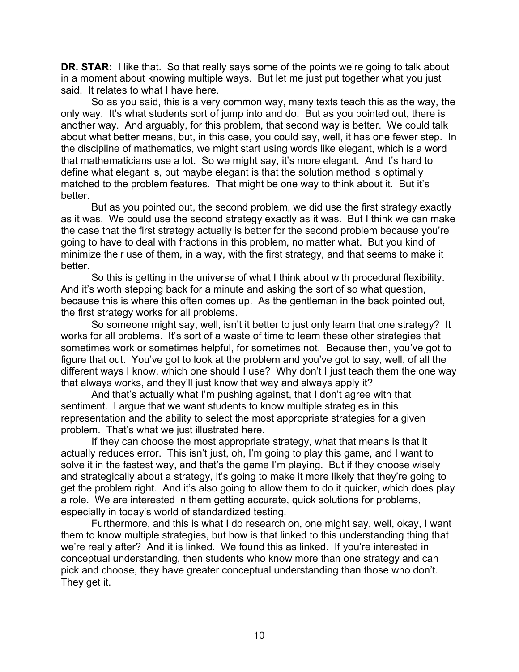**DR. STAR:** I like that. So that really says some of the points we're going to talk about in a moment about knowing multiple ways. But let me just put together what you just said. It relates to what I have here.

So as you said, this is a very common way, many texts teach this as the way, the only way. It's what students sort of jump into and do. But as you pointed out, there is another way. And arguably, for this problem, that second way is better. We could talk about what better means, but, in this case, you could say, well, it has one fewer step. In the discipline of mathematics, we might start using words like elegant, which is a word that mathematicians use a lot. So we might say, it's more elegant. And it's hard to define what elegant is, but maybe elegant is that the solution method is optimally matched to the problem features. That might be one way to think about it. But it's better.

But as you pointed out, the second problem, we did use the first strategy exactly as it was. We could use the second strategy exactly as it was. But I think we can make the case that the first strategy actually is better for the second problem because you're going to have to deal with fractions in this problem, no matter what. But you kind of minimize their use of them, in a way, with the first strategy, and that seems to make it better.

So this is getting in the universe of what I think about with procedural flexibility. And it's worth stepping back for a minute and asking the sort of so what question, because this is where this often comes up. As the gentleman in the back pointed out, the first strategy works for all problems.

So someone might say, well, isn't it better to just only learn that one strategy? It works for all problems. It's sort of a waste of time to learn these other strategies that sometimes work or sometimes helpful, for sometimes not. Because then, you've got to figure that out. You've got to look at the problem and you've got to say, well, of all the different ways I know, which one should I use? Why don't I just teach them the one way that always works, and they'll just know that way and always apply it?

And that's actually what I'm pushing against, that I don't agree with that sentiment. I argue that we want students to know multiple strategies in this representation and the ability to select the most appropriate strategies for a given problem. That's what we just illustrated here.

If they can choose the most appropriate strategy, what that means is that it actually reduces error. This isn't just, oh, I'm going to play this game, and I want to solve it in the fastest way, and that's the game I'm playing. But if they choose wisely and strategically about a strategy, it's going to make it more likely that they're going to get the problem right. And it's also going to allow them to do it quicker, which does play a role. We are interested in them getting accurate, quick solutions for problems, especially in today's world of standardized testing.

Furthermore, and this is what I do research on, one might say, well, okay, I want them to know multiple strategies, but how is that linked to this understanding thing that we're really after? And it is linked. We found this as linked. If you're interested in conceptual understanding, then students who know more than one strategy and can pick and choose, they have greater conceptual understanding than those who don't. They get it.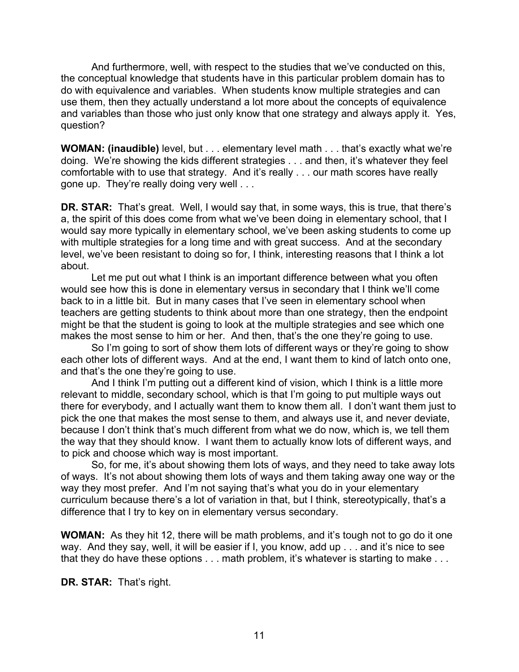And furthermore, well, with respect to the studies that we've conducted on this, the conceptual knowledge that students have in this particular problem domain has to do with equivalence and variables. When students know multiple strategies and can use them, then they actually understand a lot more about the concepts of equivalence and variables than those who just only know that one strategy and always apply it. Yes, question?

**WOMAN: (inaudible)** level, but . . . elementary level math . . . that's exactly what we're doing. We're showing the kids different strategies . . . and then, it's whatever they feel comfortable with to use that strategy. And it's really . . . our math scores have really gone up. They're really doing very well . . .

**DR. STAR:** That's great. Well, I would say that, in some ways, this is true, that there's a, the spirit of this does come from what we've been doing in elementary school, that I would say more typically in elementary school, we've been asking students to come up with multiple strategies for a long time and with great success. And at the secondary level, we've been resistant to doing so for, I think, interesting reasons that I think a lot about.

Let me put out what I think is an important difference between what you often would see how this is done in elementary versus in secondary that I think we'll come back to in a little bit. But in many cases that I've seen in elementary school when teachers are getting students to think about more than one strategy, then the endpoint might be that the student is going to look at the multiple strategies and see which one makes the most sense to him or her. And then, that's the one they're going to use.

So I'm going to sort of show them lots of different ways or they're going to show each other lots of different ways. And at the end, I want them to kind of latch onto one, and that's the one they're going to use.

And I think I'm putting out a different kind of vision, which I think is a little more relevant to middle, secondary school, which is that I'm going to put multiple ways out there for everybody, and I actually want them to know them all. I don't want them just to pick the one that makes the most sense to them, and always use it, and never deviate, because I don't think that's much different from what we do now, which is, we tell them the way that they should know. I want them to actually know lots of different ways, and to pick and choose which way is most important.

So, for me, it's about showing them lots of ways, and they need to take away lots of ways. It's not about showing them lots of ways and them taking away one way or the way they most prefer. And I'm not saying that's what you do in your elementary curriculum because there's a lot of variation in that, but I think, stereotypically, that's a difference that I try to key on in elementary versus secondary.

**WOMAN:** As they hit 12, there will be math problems, and it's tough not to go do it one way. And they say, well, it will be easier if I, you know, add up . . . and it's nice to see that they do have these options . . . math problem, it's whatever is starting to make . . .

**DR. STAR:** That's right.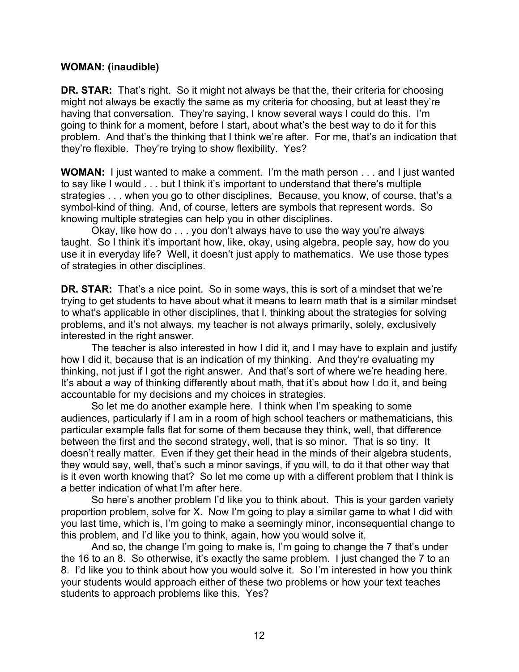### **WOMAN: (inaudible)**

**DR. STAR:** That's right. So it might not always be that the, their criteria for choosing might not always be exactly the same as my criteria for choosing, but at least they're having that conversation. They're saying, I know several ways I could do this. I'm going to think for a moment, before I start, about what's the best way to do it for this problem. And that's the thinking that I think we're after. For me, that's an indication that they're flexible. They're trying to show flexibility. Yes?

**WOMAN:** I just wanted to make a comment. I'm the math person . . . and I just wanted to say like I would . . . but I think it's important to understand that there's multiple strategies . . . when you go to other disciplines. Because, you know, of course, that's a symbol-kind of thing. And, of course, letters are symbols that represent words. So knowing multiple strategies can help you in other disciplines.

Okay, like how do . . . you don't always have to use the way you're always taught. So I think it's important how, like, okay, using algebra, people say, how do you use it in everyday life? Well, it doesn't just apply to mathematics. We use those types of strategies in other disciplines.

**DR. STAR:** That's a nice point. So in some ways, this is sort of a mindset that we're trying to get students to have about what it means to learn math that is a similar mindset to what's applicable in other disciplines, that I, thinking about the strategies for solving problems, and it's not always, my teacher is not always primarily, solely, exclusively interested in the right answer.

The teacher is also interested in how I did it, and I may have to explain and justify how I did it, because that is an indication of my thinking. And they're evaluating my thinking, not just if I got the right answer. And that's sort of where we're heading here. It's about a way of thinking differently about math, that it's about how I do it, and being accountable for my decisions and my choices in strategies.

So let me do another example here. I think when I'm speaking to some audiences, particularly if I am in a room of high school teachers or mathematicians, this particular example falls flat for some of them because they think, well, that difference between the first and the second strategy, well, that is so minor. That is so tiny. It doesn't really matter. Even if they get their head in the minds of their algebra students, they would say, well, that's such a minor savings, if you will, to do it that other way that is it even worth knowing that? So let me come up with a different problem that I think is a better indication of what I'm after here.

So here's another problem I'd like you to think about. This is your garden variety proportion problem, solve for X. Now I'm going to play a similar game to what I did with you last time, which is, I'm going to make a seemingly minor, inconsequential change to this problem, and I'd like you to think, again, how you would solve it.

And so, the change I'm going to make is, I'm going to change the 7 that's under the 16 to an 8. So otherwise, it's exactly the same problem. I just changed the 7 to an 8. I'd like you to think about how you would solve it. So I'm interested in how you think your students would approach either of these two problems or how your text teaches students to approach problems like this. Yes?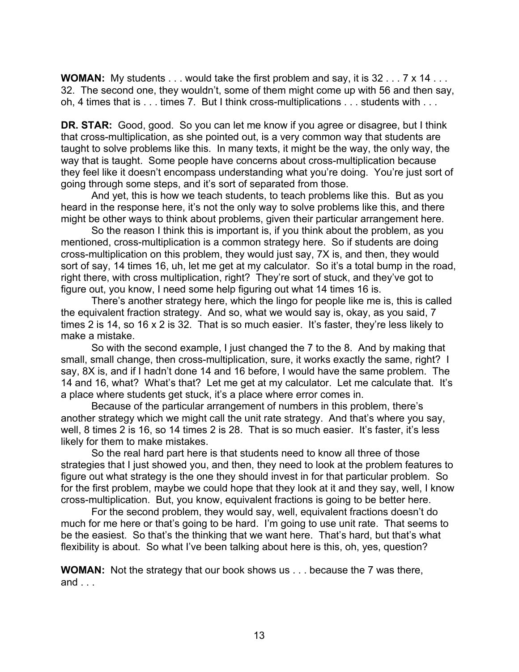**WOMAN:** My students . . . would take the first problem and say, it is 32 . . . 7 x 14 . . . 32. The second one, they wouldn't, some of them might come up with 56 and then say, oh, 4 times that is . . . times 7. But I think cross-multiplications . . . students with . . .

**DR. STAR:** Good, good. So you can let me know if you agree or disagree, but I think that cross-multiplication, as she pointed out, is a very common way that students are taught to solve problems like this. In many texts, it might be the way, the only way, the way that is taught. Some people have concerns about cross-multiplication because they feel like it doesn't encompass understanding what you're doing. You're just sort of going through some steps, and it's sort of separated from those.

And yet, this is how we teach students, to teach problems like this. But as you heard in the response here, it's not the only way to solve problems like this, and there might be other ways to think about problems, given their particular arrangement here.

So the reason I think this is important is, if you think about the problem, as you mentioned, cross-multiplication is a common strategy here. So if students are doing cross-multiplication on this problem, they would just say, 7X is, and then, they would sort of say, 14 times 16, uh, let me get at my calculator. So it's a total bump in the road, right there, with cross multiplication, right? They're sort of stuck, and they've got to figure out, you know, I need some help figuring out what 14 times 16 is.

There's another strategy here, which the lingo for people like me is, this is called the equivalent fraction strategy. And so, what we would say is, okay, as you said, 7 times 2 is 14, so 16 x 2 is 32. That is so much easier. It's faster, they're less likely to make a mistake.

So with the second example, I just changed the 7 to the 8. And by making that small, small change, then cross-multiplication, sure, it works exactly the same, right? I say, 8X is, and if I hadn't done 14 and 16 before, I would have the same problem. The 14 and 16, what? What's that? Let me get at my calculator. Let me calculate that. It's a place where students get stuck, it's a place where error comes in.

Because of the particular arrangement of numbers in this problem, there's another strategy which we might call the unit rate strategy. And that's where you say, well, 8 times 2 is 16, so 14 times 2 is 28. That is so much easier. It's faster, it's less likely for them to make mistakes.

So the real hard part here is that students need to know all three of those strategies that I just showed you, and then, they need to look at the problem features to figure out what strategy is the one they should invest in for that particular problem. So for the first problem, maybe we could hope that they look at it and they say, well, I know cross-multiplication. But, you know, equivalent fractions is going to be better here.

For the second problem, they would say, well, equivalent fractions doesn't do much for me here or that's going to be hard. I'm going to use unit rate. That seems to be the easiest. So that's the thinking that we want here. That's hard, but that's what flexibility is about. So what I've been talking about here is this, oh, yes, question?

**WOMAN:** Not the strategy that our book shows us . . . because the 7 was there, and . . .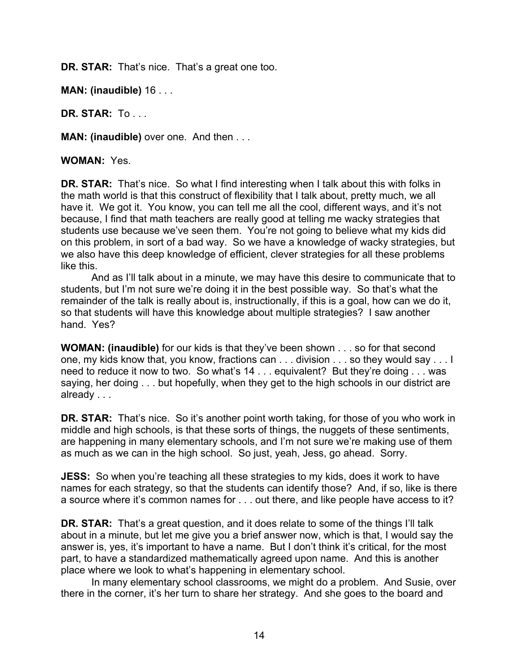**DR. STAR:** That's nice. That's a great one too.

**MAN: (inaudible)** 16 . . .

**DR. STAR:** To . . .

**MAN: (inaudible)** over one. And then . . .

**WOMAN:** Yes.

**DR. STAR:** That's nice. So what I find interesting when I talk about this with folks in the math world is that this construct of flexibility that I talk about, pretty much, we all have it. We got it. You know, you can tell me all the cool, different ways, and it's not because, I find that math teachers are really good at telling me wacky strategies that students use because we've seen them. You're not going to believe what my kids did on this problem, in sort of a bad way. So we have a knowledge of wacky strategies, but we also have this deep knowledge of efficient, clever strategies for all these problems like this.

And as I'll talk about in a minute, we may have this desire to communicate that to students, but I'm not sure we're doing it in the best possible way. So that's what the remainder of the talk is really about is, instructionally, if this is a goal, how can we do it, so that students will have this knowledge about multiple strategies? I saw another hand. Yes?

**WOMAN: (inaudible)** for our kids is that they've been shown . . . so for that second one, my kids know that, you know, fractions can . . . division . . . so they would say . . . I need to reduce it now to two. So what's 14 . . . equivalent? But they're doing . . . was saying, her doing . . . but hopefully, when they get to the high schools in our district are already . . .

**DR. STAR:** That's nice. So it's another point worth taking, for those of you who work in middle and high schools, is that these sorts of things, the nuggets of these sentiments, are happening in many elementary schools, and I'm not sure we're making use of them as much as we can in the high school. So just, yeah, Jess, go ahead. Sorry.

**JESS:** So when you're teaching all these strategies to my kids, does it work to have names for each strategy, so that the students can identify those? And, if so, like is there a source where it's common names for . . . out there, and like people have access to it?

**DR. STAR:** That's a great question, and it does relate to some of the things I'll talk about in a minute, but let me give you a brief answer now, which is that, I would say the answer is, yes, it's important to have a name. But I don't think it's critical, for the most part, to have a standardized mathematically agreed upon name. And this is another place where we look to what's happening in elementary school.

In many elementary school classrooms, we might do a problem. And Susie, over there in the corner, it's her turn to share her strategy. And she goes to the board and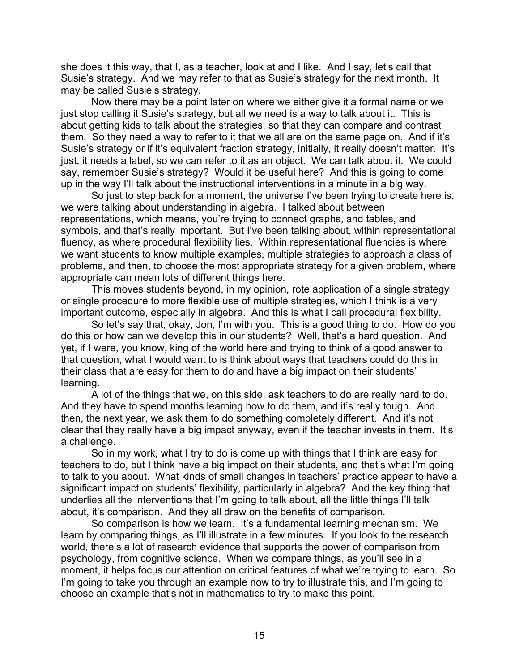she does it this way, that I, as a teacher, look at and I like. And I say, let's call that Susie's strategy. And we may refer to that as Susie's strategy for the next month. It may be called Susie's strategy.

Now there may be a point later on where we either give it a formal name or we just stop calling it Susie's strategy, but all we need is a way to talk about it. This is about getting kids to talk about the strategies, so that they can compare and contrast them. So they need a way to refer to it that we all are on the same page on. And if it's Susie's strategy or if it's equivalent fraction strategy, initially, it really doesn't matter. It's just, it needs a label, so we can refer to it as an object. We can talk about it. We could say, remember Susie's strategy? Would it be useful here? And this is going to come up in the way I'll talk about the instructional interventions in a minute in a big way.

So just to step back for a moment, the universe I've been trying to create here is, we were talking about understanding in algebra. I talked about between representations, which means, you're trying to connect graphs, and tables, and symbols, and that's really important. But I've been talking about, within representational fluency, as where procedural flexibility lies. Within representational fluencies is where we want students to know multiple examples, multiple strategies to approach a class of problems, and then, to choose the most appropriate strategy for a given problem, where appropriate can mean lots of different things here.

This moves students beyond, in my opinion, rote application of a single strategy or single procedure to more flexible use of multiple strategies, which I think is a very important outcome, especially in algebra. And this is what I call procedural flexibility.

So let's say that, okay, Jon, I'm with you. This is a good thing to do. How do you do this or how can we develop this in our students? Well, that's a hard question. And yet, if I were, you know, king of the world here and trying to think of a good answer to that question, what I would want to is think about ways that teachers could do this in their class that are easy for them to do and have a big impact on their students' learning.

A lot of the things that we, on this side, ask teachers to do are really hard to do. And they have to spend months learning how to do them, and it's really tough. And then, the next year, we ask them to do something completely different. And it's not clear that they really have a big impact anyway, even if the teacher invests in them. It's a challenge.

So in my work, what I try to do is come up with things that I think are easy for teachers to do, but I think have a big impact on their students, and that's what I'm going to talk to you about. What kinds of small changes in teachers' practice appear to have a significant impact on students' flexibility, particularly in algebra? And the key thing that underlies all the interventions that I'm going to talk about, all the little things I'll talk about, it's comparison. And they all draw on the benefits of comparison.

So comparison is how we learn. It's a fundamental learning mechanism. We learn by comparing things, as I'll illustrate in a few minutes. If you look to the research world, there's a lot of research evidence that supports the power of comparison from psychology, from cognitive science. When we compare things, as you'll see in a moment, it helps focus our attention on critical features of what we're trying to learn. So I'm going to take you through an example now to try to illustrate this, and I'm going to choose an example that's not in mathematics to try to make this point.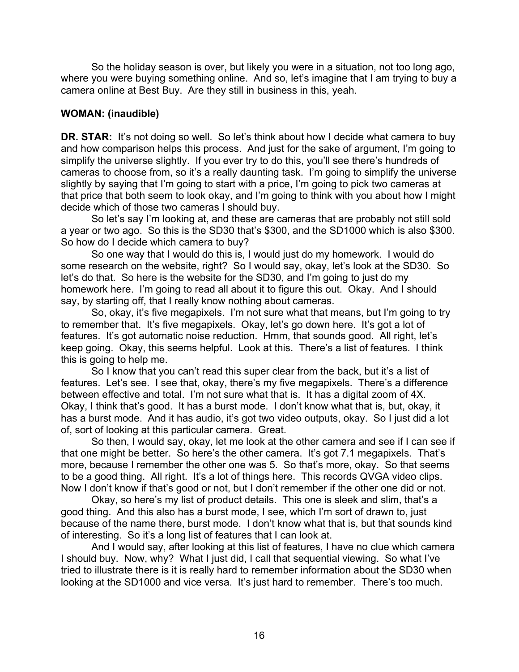So the holiday season is over, but likely you were in a situation, not too long ago, where you were buying something online. And so, let's imagine that I am trying to buy a camera online at Best Buy. Are they still in business in this, yeah.

## **WOMAN: (inaudible)**

**DR. STAR:** It's not doing so well. So let's think about how I decide what camera to buy and how comparison helps this process. And just for the sake of argument, I'm going to simplify the universe slightly. If you ever try to do this, you'll see there's hundreds of cameras to choose from, so it's a really daunting task. I'm going to simplify the universe slightly by saying that I'm going to start with a price, I'm going to pick two cameras at that price that both seem to look okay, and I'm going to think with you about how I might decide which of those two cameras I should buy.

So let's say I'm looking at, and these are cameras that are probably not still sold a year or two ago. So this is the SD30 that's \$300, and the SD1000 which is also \$300. So how do I decide which camera to buy?

So one way that I would do this is, I would just do my homework. I would do some research on the website, right? So I would say, okay, let's look at the SD30. So let's do that. So here is the website for the SD30, and I'm going to just do my homework here. I'm going to read all about it to figure this out. Okay. And I should say, by starting off, that I really know nothing about cameras.

So, okay, it's five megapixels. I'm not sure what that means, but I'm going to try to remember that. It's five megapixels. Okay, let's go down here. It's got a lot of features. It's got automatic noise reduction. Hmm, that sounds good. All right, let's keep going. Okay, this seems helpful. Look at this. There's a list of features. I think this is going to help me.

So I know that you can't read this super clear from the back, but it's a list of features. Let's see. I see that, okay, there's my five megapixels. There's a difference between effective and total. I'm not sure what that is. It has a digital zoom of 4X. Okay, I think that's good. It has a burst mode. I don't know what that is, but, okay, it has a burst mode. And it has audio, it's got two video outputs, okay. So I just did a lot of, sort of looking at this particular camera. Great.

So then, I would say, okay, let me look at the other camera and see if I can see if that one might be better. So here's the other camera. It's got 7.1 megapixels. That's more, because I remember the other one was 5. So that's more, okay. So that seems to be a good thing. All right. It's a lot of things here. This records QVGA video clips. Now I don't know if that's good or not, but I don't remember if the other one did or not.

Okay, so here's my list of product details. This one is sleek and slim, that's a good thing. And this also has a burst mode, I see, which I'm sort of drawn to, just because of the name there, burst mode. I don't know what that is, but that sounds kind of interesting. So it's a long list of features that I can look at.

And I would say, after looking at this list of features, I have no clue which camera I should buy. Now, why? What I just did, I call that sequential viewing. So what I've tried to illustrate there is it is really hard to remember information about the SD30 when looking at the SD1000 and vice versa. It's just hard to remember. There's too much.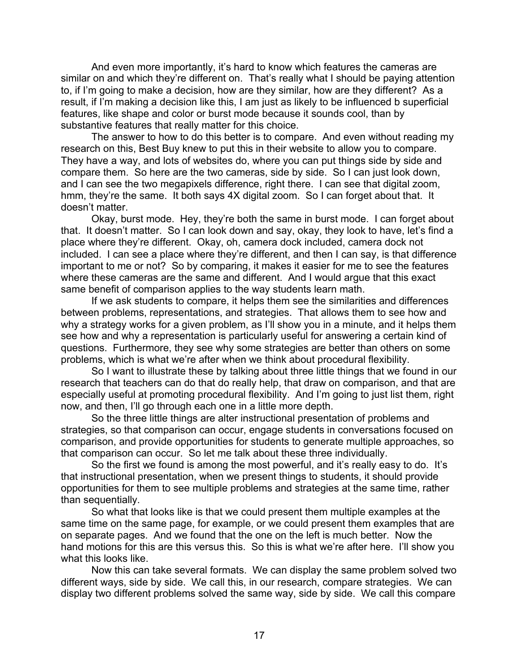And even more importantly, it's hard to know which features the cameras are similar on and which they're different on. That's really what I should be paying attention to, if I'm going to make a decision, how are they similar, how are they different? As a result, if I'm making a decision like this, I am just as likely to be influenced b superficial features, like shape and color or burst mode because it sounds cool, than by substantive features that really matter for this choice.

The answer to how to do this better is to compare. And even without reading my research on this, Best Buy knew to put this in their website to allow you to compare. They have a way, and lots of websites do, where you can put things side by side and compare them. So here are the two cameras, side by side. So I can just look down, and I can see the two megapixels difference, right there. I can see that digital zoom, hmm, they're the same. It both says 4X digital zoom. So I can forget about that. It doesn't matter.

Okay, burst mode. Hey, they're both the same in burst mode. I can forget about that. It doesn't matter. So I can look down and say, okay, they look to have, let's find a place where they're different. Okay, oh, camera dock included, camera dock not included. I can see a place where they're different, and then I can say, is that difference important to me or not? So by comparing, it makes it easier for me to see the features where these cameras are the same and different. And I would argue that this exact same benefit of comparison applies to the way students learn math.

If we ask students to compare, it helps them see the similarities and differences between problems, representations, and strategies. That allows them to see how and why a strategy works for a given problem, as I'll show you in a minute, and it helps them see how and why a representation is particularly useful for answering a certain kind of questions. Furthermore, they see why some strategies are better than others on some problems, which is what we're after when we think about procedural flexibility.

So I want to illustrate these by talking about three little things that we found in our research that teachers can do that do really help, that draw on comparison, and that are especially useful at promoting procedural flexibility. And I'm going to just list them, right now, and then, I'll go through each one in a little more depth.

So the three little things are alter instructional presentation of problems and strategies, so that comparison can occur, engage students in conversations focused on comparison, and provide opportunities for students to generate multiple approaches, so that comparison can occur. So let me talk about these three individually.

So the first we found is among the most powerful, and it's really easy to do. It's that instructional presentation, when we present things to students, it should provide opportunities for them to see multiple problems and strategies at the same time, rather than sequentially.

So what that looks like is that we could present them multiple examples at the same time on the same page, for example, or we could present them examples that are on separate pages. And we found that the one on the left is much better. Now the hand motions for this are this versus this. So this is what we're after here. I'll show you what this looks like.

Now this can take several formats. We can display the same problem solved two different ways, side by side. We call this, in our research, compare strategies. We can display two different problems solved the same way, side by side. We call this compare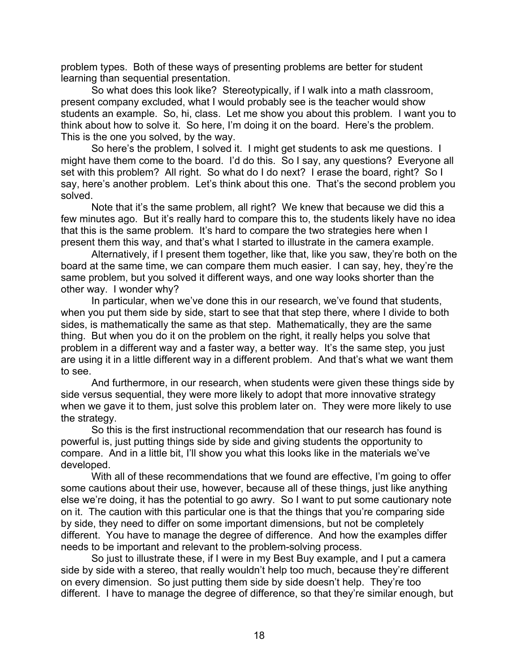problem types. Both of these ways of presenting problems are better for student learning than sequential presentation.

So what does this look like? Stereotypically, if I walk into a math classroom, present company excluded, what I would probably see is the teacher would show students an example. So, hi, class. Let me show you about this problem. I want you to think about how to solve it. So here, I'm doing it on the board. Here's the problem. This is the one you solved, by the way.

So here's the problem, I solved it. I might get students to ask me questions. I might have them come to the board. I'd do this. So I say, any questions? Everyone all set with this problem? All right. So what do I do next? I erase the board, right? So I say, here's another problem. Let's think about this one. That's the second problem you solved.

Note that it's the same problem, all right? We knew that because we did this a few minutes ago. But it's really hard to compare this to, the students likely have no idea that this is the same problem. It's hard to compare the two strategies here when I present them this way, and that's what I started to illustrate in the camera example.

Alternatively, if I present them together, like that, like you saw, they're both on the board at the same time, we can compare them much easier. I can say, hey, they're the same problem, but you solved it different ways, and one way looks shorter than the other way. I wonder why?

In particular, when we've done this in our research, we've found that students, when you put them side by side, start to see that that step there, where I divide to both sides, is mathematically the same as that step. Mathematically, they are the same thing. But when you do it on the problem on the right, it really helps you solve that problem in a different way and a faster way, a better way. It's the same step, you just are using it in a little different way in a different problem. And that's what we want them to see.

And furthermore, in our research, when students were given these things side by side versus sequential, they were more likely to adopt that more innovative strategy when we gave it to them, just solve this problem later on. They were more likely to use the strategy.

So this is the first instructional recommendation that our research has found is powerful is, just putting things side by side and giving students the opportunity to compare. And in a little bit, I'll show you what this looks like in the materials we've developed.

With all of these recommendations that we found are effective, I'm going to offer some cautions about their use, however, because all of these things, just like anything else we're doing, it has the potential to go awry. So I want to put some cautionary note on it. The caution with this particular one is that the things that you're comparing side by side, they need to differ on some important dimensions, but not be completely different. You have to manage the degree of difference. And how the examples differ needs to be important and relevant to the problem-solving process.

So just to illustrate these, if I were in my Best Buy example, and I put a camera side by side with a stereo, that really wouldn't help too much, because they're different on every dimension. So just putting them side by side doesn't help. They're too different. I have to manage the degree of difference, so that they're similar enough, but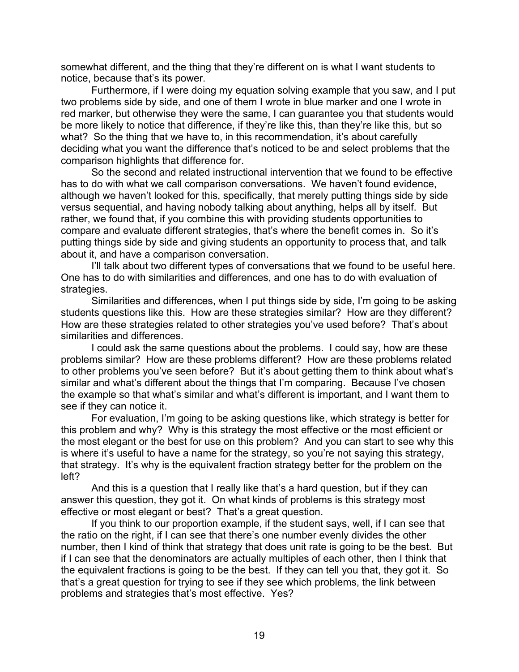somewhat different, and the thing that they're different on is what I want students to notice, because that's its power.

Furthermore, if I were doing my equation solving example that you saw, and I put two problems side by side, and one of them I wrote in blue marker and one I wrote in red marker, but otherwise they were the same, I can guarantee you that students would be more likely to notice that difference, if they're like this, than they're like this, but so what? So the thing that we have to, in this recommendation, it's about carefully deciding what you want the difference that's noticed to be and select problems that the comparison highlights that difference for.

So the second and related instructional intervention that we found to be effective has to do with what we call comparison conversations. We haven't found evidence, although we haven't looked for this, specifically, that merely putting things side by side versus sequential, and having nobody talking about anything, helps all by itself. But rather, we found that, if you combine this with providing students opportunities to compare and evaluate different strategies, that's where the benefit comes in. So it's putting things side by side and giving students an opportunity to process that, and talk about it, and have a comparison conversation.

I'll talk about two different types of conversations that we found to be useful here. One has to do with similarities and differences, and one has to do with evaluation of strategies.

Similarities and differences, when I put things side by side, I'm going to be asking students questions like this. How are these strategies similar? How are they different? How are these strategies related to other strategies you've used before? That's about similarities and differences.

I could ask the same questions about the problems. I could say, how are these problems similar? How are these problems different? How are these problems related to other problems you've seen before? But it's about getting them to think about what's similar and what's different about the things that I'm comparing. Because I've chosen the example so that what's similar and what's different is important, and I want them to see if they can notice it.

For evaluation, I'm going to be asking questions like, which strategy is better for this problem and why? Why is this strategy the most effective or the most efficient or the most elegant or the best for use on this problem? And you can start to see why this is where it's useful to have a name for the strategy, so you're not saying this strategy, that strategy. It's why is the equivalent fraction strategy better for the problem on the left?

And this is a question that I really like that's a hard question, but if they can answer this question, they got it. On what kinds of problems is this strategy most effective or most elegant or best? That's a great question.

If you think to our proportion example, if the student says, well, if I can see that the ratio on the right, if I can see that there's one number evenly divides the other number, then I kind of think that strategy that does unit rate is going to be the best. But if I can see that the denominators are actually multiples of each other, then I think that the equivalent fractions is going to be the best. If they can tell you that, they got it. So that's a great question for trying to see if they see which problems, the link between problems and strategies that's most effective. Yes?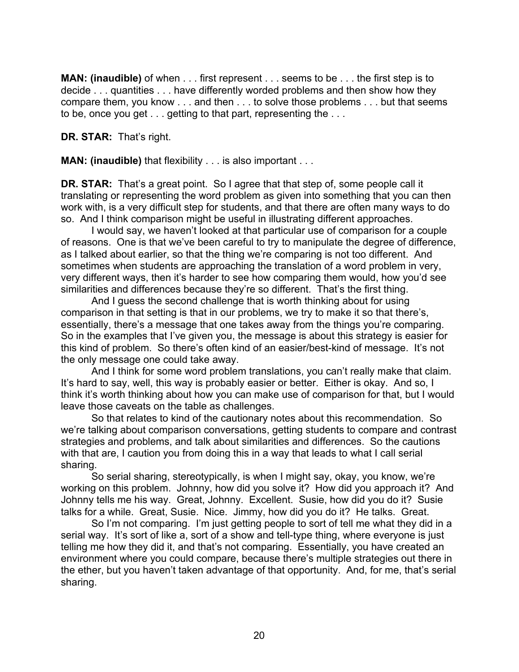**MAN: (inaudible)** of when . . . first represent . . . seems to be . . . the first step is to decide . . . quantities . . . have differently worded problems and then show how they compare them, you know . . . and then . . . to solve those problems . . . but that seems to be, once you get . . . getting to that part, representing the . . .

**DR. STAR:** That's right.

**MAN: (inaudible)** that flexibility . . . is also important . . .

**DR. STAR:** That's a great point. So I agree that that step of, some people call it translating or representing the word problem as given into something that you can then work with, is a very difficult step for students, and that there are often many ways to do so. And I think comparison might be useful in illustrating different approaches.

I would say, we haven't looked at that particular use of comparison for a couple of reasons. One is that we've been careful to try to manipulate the degree of difference, as I talked about earlier, so that the thing we're comparing is not too different. And sometimes when students are approaching the translation of a word problem in very, very different ways, then it's harder to see how comparing them would, how you'd see similarities and differences because they're so different. That's the first thing.

And I guess the second challenge that is worth thinking about for using comparison in that setting is that in our problems, we try to make it so that there's, essentially, there's a message that one takes away from the things you're comparing. So in the examples that I've given you, the message is about this strategy is easier for this kind of problem. So there's often kind of an easier/best-kind of message. It's not the only message one could take away.

And I think for some word problem translations, you can't really make that claim. It's hard to say, well, this way is probably easier or better. Either is okay. And so, I think it's worth thinking about how you can make use of comparison for that, but I would leave those caveats on the table as challenges.

So that relates to kind of the cautionary notes about this recommendation. So we're talking about comparison conversations, getting students to compare and contrast strategies and problems, and talk about similarities and differences. So the cautions with that are, I caution you from doing this in a way that leads to what I call serial sharing.

So serial sharing, stereotypically, is when I might say, okay, you know, we're working on this problem. Johnny, how did you solve it? How did you approach it? And Johnny tells me his way. Great, Johnny. Excellent. Susie, how did you do it? Susie talks for a while. Great, Susie. Nice. Jimmy, how did you do it? He talks. Great.

So I'm not comparing. I'm just getting people to sort of tell me what they did in a serial way. It's sort of like a, sort of a show and tell-type thing, where everyone is just telling me how they did it, and that's not comparing. Essentially, you have created an environment where you could compare, because there's multiple strategies out there in the ether, but you haven't taken advantage of that opportunity. And, for me, that's serial sharing.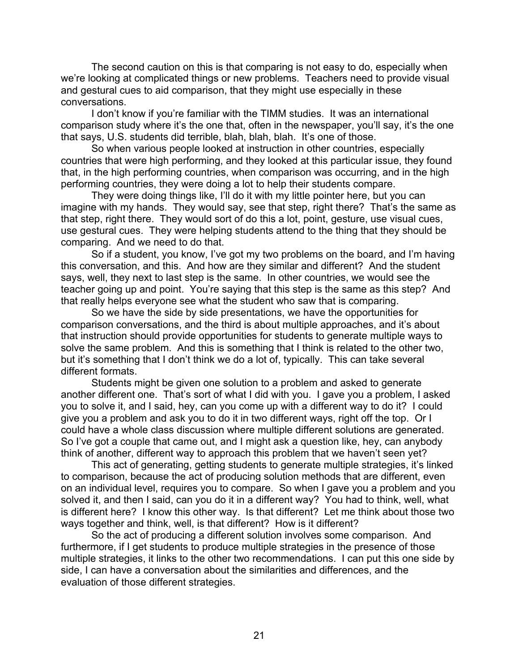The second caution on this is that comparing is not easy to do, especially when we're looking at complicated things or new problems. Teachers need to provide visual and gestural cues to aid comparison, that they might use especially in these conversations.

I don't know if you're familiar with the TIMM studies. It was an international comparison study where it's the one that, often in the newspaper, you'll say, it's the one that says, U.S. students did terrible, blah, blah, blah. It's one of those.

So when various people looked at instruction in other countries, especially countries that were high performing, and they looked at this particular issue, they found that, in the high performing countries, when comparison was occurring, and in the high performing countries, they were doing a lot to help their students compare.

They were doing things like, I'll do it with my little pointer here, but you can imagine with my hands. They would say, see that step, right there? That's the same as that step, right there. They would sort of do this a lot, point, gesture, use visual cues, use gestural cues. They were helping students attend to the thing that they should be comparing. And we need to do that.

So if a student, you know, I've got my two problems on the board, and I'm having this conversation, and this. And how are they similar and different? And the student says, well, they next to last step is the same. In other countries, we would see the teacher going up and point. You're saying that this step is the same as this step? And that really helps everyone see what the student who saw that is comparing.

So we have the side by side presentations, we have the opportunities for comparison conversations, and the third is about multiple approaches, and it's about that instruction should provide opportunities for students to generate multiple ways to solve the same problem. And this is something that I think is related to the other two, but it's something that I don't think we do a lot of, typically. This can take several different formats.

Students might be given one solution to a problem and asked to generate another different one. That's sort of what I did with you. I gave you a problem, I asked you to solve it, and I said, hey, can you come up with a different way to do it? I could give you a problem and ask you to do it in two different ways, right off the top. Or I could have a whole class discussion where multiple different solutions are generated. So I've got a couple that came out, and I might ask a question like, hey, can anybody think of another, different way to approach this problem that we haven't seen yet?

This act of generating, getting students to generate multiple strategies, it's linked to comparison, because the act of producing solution methods that are different, even on an individual level, requires you to compare. So when I gave you a problem and you solved it, and then I said, can you do it in a different way? You had to think, well, what is different here? I know this other way. Is that different? Let me think about those two ways together and think, well, is that different? How is it different?

So the act of producing a different solution involves some comparison. And furthermore, if I get students to produce multiple strategies in the presence of those multiple strategies, it links to the other two recommendations. I can put this one side by side, I can have a conversation about the similarities and differences, and the evaluation of those different strategies.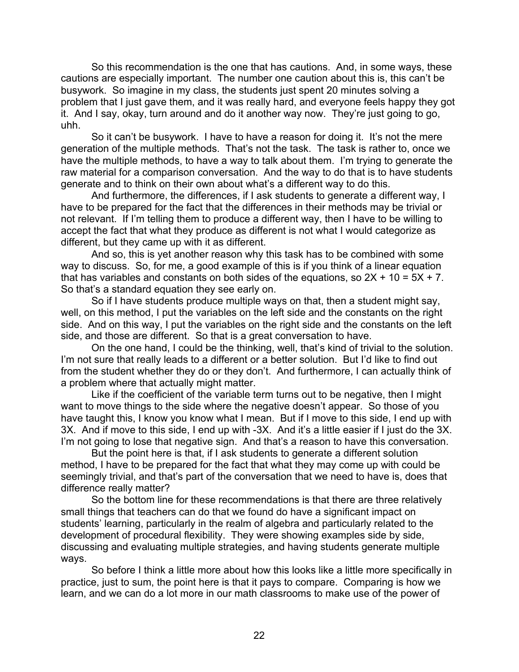So this recommendation is the one that has cautions. And, in some ways, these cautions are especially important. The number one caution about this is, this can't be busywork. So imagine in my class, the students just spent 20 minutes solving a problem that I just gave them, and it was really hard, and everyone feels happy they got it. And I say, okay, turn around and do it another way now. They're just going to go, uhh.

So it can't be busywork. I have to have a reason for doing it. It's not the mere generation of the multiple methods. That's not the task. The task is rather to, once we have the multiple methods, to have a way to talk about them. I'm trying to generate the raw material for a comparison conversation. And the way to do that is to have students generate and to think on their own about what's a different way to do this.

And furthermore, the differences, if I ask students to generate a different way, I have to be prepared for the fact that the differences in their methods may be trivial or not relevant. If I'm telling them to produce a different way, then I have to be willing to accept the fact that what they produce as different is not what I would categorize as different, but they came up with it as different.

And so, this is yet another reason why this task has to be combined with some way to discuss. So, for me, a good example of this is if you think of a linear equation that has variables and constants on both sides of the equations, so  $2X + 10 = 5X + 7$ . So that's a standard equation they see early on.

So if I have students produce multiple ways on that, then a student might say, well, on this method, I put the variables on the left side and the constants on the right side. And on this way, I put the variables on the right side and the constants on the left side, and those are different. So that is a great conversation to have.

On the one hand, I could be the thinking, well, that's kind of trivial to the solution. I'm not sure that really leads to a different or a better solution. But I'd like to find out from the student whether they do or they don't. And furthermore, I can actually think of a problem where that actually might matter.

Like if the coefficient of the variable term turns out to be negative, then I might want to move things to the side where the negative doesn't appear. So those of you have taught this, I know you know what I mean. But if I move to this side, I end up with 3X. And if move to this side, I end up with -3X. And it's a little easier if I just do the 3X. I'm not going to lose that negative sign. And that's a reason to have this conversation.

But the point here is that, if I ask students to generate a different solution method, I have to be prepared for the fact that what they may come up with could be seemingly trivial, and that's part of the conversation that we need to have is, does that difference really matter?

So the bottom line for these recommendations is that there are three relatively small things that teachers can do that we found do have a significant impact on students' learning, particularly in the realm of algebra and particularly related to the development of procedural flexibility. They were showing examples side by side, discussing and evaluating multiple strategies, and having students generate multiple ways.

So before I think a little more about how this looks like a little more specifically in practice, just to sum, the point here is that it pays to compare. Comparing is how we learn, and we can do a lot more in our math classrooms to make use of the power of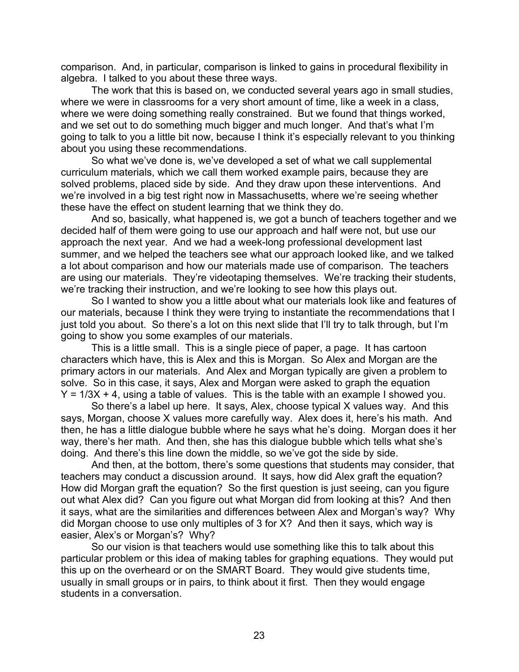comparison. And, in particular, comparison is linked to gains in procedural flexibility in algebra. I talked to you about these three ways.

The work that this is based on, we conducted several years ago in small studies, where we were in classrooms for a very short amount of time, like a week in a class, where we were doing something really constrained. But we found that things worked, and we set out to do something much bigger and much longer. And that's what I'm going to talk to you a little bit now, because I think it's especially relevant to you thinking about you using these recommendations.

So what we've done is, we've developed a set of what we call supplemental curriculum materials, which we call them worked example pairs, because they are solved problems, placed side by side. And they draw upon these interventions. And we're involved in a big test right now in Massachusetts, where we're seeing whether these have the effect on student learning that we think they do.

And so, basically, what happened is, we got a bunch of teachers together and we decided half of them were going to use our approach and half were not, but use our approach the next year. And we had a week-long professional development last summer, and we helped the teachers see what our approach looked like, and we talked a lot about comparison and how our materials made use of comparison. The teachers are using our materials. They're videotaping themselves. We're tracking their students, we're tracking their instruction, and we're looking to see how this plays out.

So I wanted to show you a little about what our materials look like and features of our materials, because I think they were trying to instantiate the recommendations that I just told you about. So there's a lot on this next slide that I'll try to talk through, but I'm going to show you some examples of our materials.

This is a little small. This is a single piece of paper, a page. It has cartoon characters which have, this is Alex and this is Morgan. So Alex and Morgan are the primary actors in our materials. And Alex and Morgan typically are given a problem to solve. So in this case, it says, Alex and Morgan were asked to graph the equation  $Y = 1/3X + 4$ , using a table of values. This is the table with an example I showed you.

So there's a label up here. It says, Alex, choose typical X values way. And this says, Morgan, choose X values more carefully way. Alex does it, here's his math. And then, he has a little dialogue bubble where he says what he's doing. Morgan does it her way, there's her math. And then, she has this dialogue bubble which tells what she's doing. And there's this line down the middle, so we've got the side by side.

And then, at the bottom, there's some questions that students may consider, that teachers may conduct a discussion around. It says, how did Alex graft the equation? How did Morgan graft the equation? So the first question is just seeing, can you figure out what Alex did? Can you figure out what Morgan did from looking at this? And then it says, what are the similarities and differences between Alex and Morgan's way? Why did Morgan choose to use only multiples of 3 for X? And then it says, which way is easier, Alex's or Morgan's? Why?

So our vision is that teachers would use something like this to talk about this particular problem or this idea of making tables for graphing equations. They would put this up on the overheard or on the SMART Board. They would give students time, usually in small groups or in pairs, to think about it first. Then they would engage students in a conversation.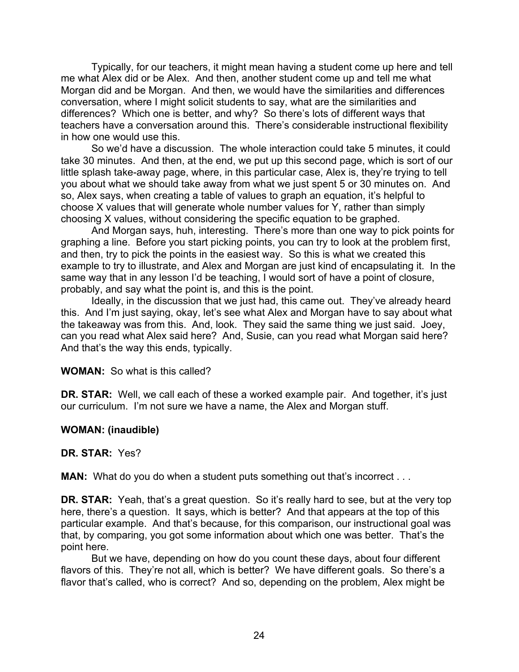Typically, for our teachers, it might mean having a student come up here and tell me what Alex did or be Alex. And then, another student come up and tell me what Morgan did and be Morgan. And then, we would have the similarities and differences conversation, where I might solicit students to say, what are the similarities and differences? Which one is better, and why? So there's lots of different ways that teachers have a conversation around this. There's considerable instructional flexibility in how one would use this.

So we'd have a discussion. The whole interaction could take 5 minutes, it could take 30 minutes. And then, at the end, we put up this second page, which is sort of our little splash take-away page, where, in this particular case, Alex is, they're trying to tell you about what we should take away from what we just spent 5 or 30 minutes on. And so, Alex says, when creating a table of values to graph an equation, it's helpful to choose X values that will generate whole number values for Y, rather than simply choosing X values, without considering the specific equation to be graphed.

And Morgan says, huh, interesting. There's more than one way to pick points for graphing a line. Before you start picking points, you can try to look at the problem first, and then, try to pick the points in the easiest way. So this is what we created this example to try to illustrate, and Alex and Morgan are just kind of encapsulating it. In the same way that in any lesson I'd be teaching, I would sort of have a point of closure, probably, and say what the point is, and this is the point.

Ideally, in the discussion that we just had, this came out. They've already heard this. And I'm just saying, okay, let's see what Alex and Morgan have to say about what the takeaway was from this. And, look. They said the same thing we just said. Joey, can you read what Alex said here? And, Susie, can you read what Morgan said here? And that's the way this ends, typically.

#### **WOMAN:** So what is this called?

**DR. STAR:** Well, we call each of these a worked example pair. And together, it's just our curriculum. I'm not sure we have a name, the Alex and Morgan stuff.

#### **WOMAN: (inaudible)**

#### **DR. STAR:** Yes?

**MAN:** What do you do when a student puts something out that's incorrect . . .

**DR. STAR:** Yeah, that's a great question. So it's really hard to see, but at the very top here, there's a question. It says, which is better? And that appears at the top of this particular example. And that's because, for this comparison, our instructional goal was that, by comparing, you got some information about which one was better. That's the point here.

But we have, depending on how do you count these days, about four different flavors of this. They're not all, which is better? We have different goals. So there's a flavor that's called, who is correct? And so, depending on the problem, Alex might be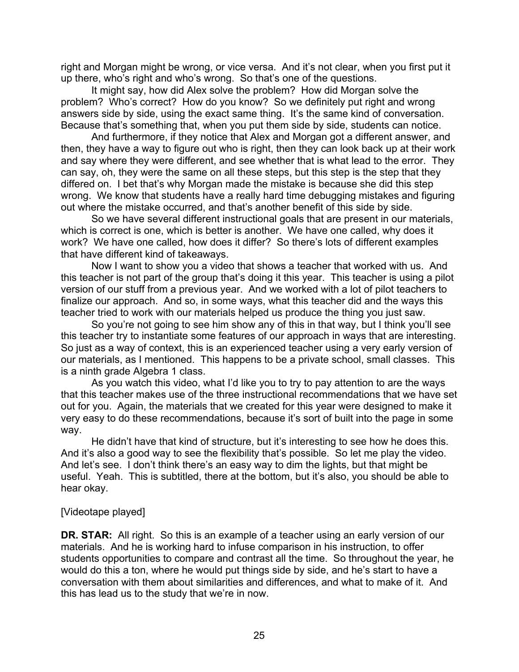right and Morgan might be wrong, or vice versa. And it's not clear, when you first put it up there, who's right and who's wrong. So that's one of the questions.

It might say, how did Alex solve the problem? How did Morgan solve the problem? Who's correct? How do you know? So we definitely put right and wrong answers side by side, using the exact same thing. It's the same kind of conversation. Because that's something that, when you put them side by side, students can notice.

And furthermore, if they notice that Alex and Morgan got a different answer, and then, they have a way to figure out who is right, then they can look back up at their work and say where they were different, and see whether that is what lead to the error. They can say, oh, they were the same on all these steps, but this step is the step that they differed on. I bet that's why Morgan made the mistake is because she did this step wrong. We know that students have a really hard time debugging mistakes and figuring out where the mistake occurred, and that's another benefit of this side by side.

So we have several different instructional goals that are present in our materials, which is correct is one, which is better is another. We have one called, why does it work? We have one called, how does it differ? So there's lots of different examples that have different kind of takeaways.

Now I want to show you a video that shows a teacher that worked with us. And this teacher is not part of the group that's doing it this year. This teacher is using a pilot version of our stuff from a previous year. And we worked with a lot of pilot teachers to finalize our approach. And so, in some ways, what this teacher did and the ways this teacher tried to work with our materials helped us produce the thing you just saw.

So you're not going to see him show any of this in that way, but I think you'll see this teacher try to instantiate some features of our approach in ways that are interesting. So just as a way of context, this is an experienced teacher using a very early version of our materials, as I mentioned. This happens to be a private school, small classes. This is a ninth grade Algebra 1 class.

As you watch this video, what I'd like you to try to pay attention to are the ways that this teacher makes use of the three instructional recommendations that we have set out for you. Again, the materials that we created for this year were designed to make it very easy to do these recommendations, because it's sort of built into the page in some way.

He didn't have that kind of structure, but it's interesting to see how he does this. And it's also a good way to see the flexibility that's possible. So let me play the video. And let's see. I don't think there's an easy way to dim the lights, but that might be useful. Yeah. This is subtitled, there at the bottom, but it's also, you should be able to hear okay.

### [Videotape played]

**DR. STAR:** All right. So this is an example of a teacher using an early version of our materials. And he is working hard to infuse comparison in his instruction, to offer students opportunities to compare and contrast all the time. So throughout the year, he would do this a ton, where he would put things side by side, and he's start to have a conversation with them about similarities and differences, and what to make of it. And this has lead us to the study that we're in now.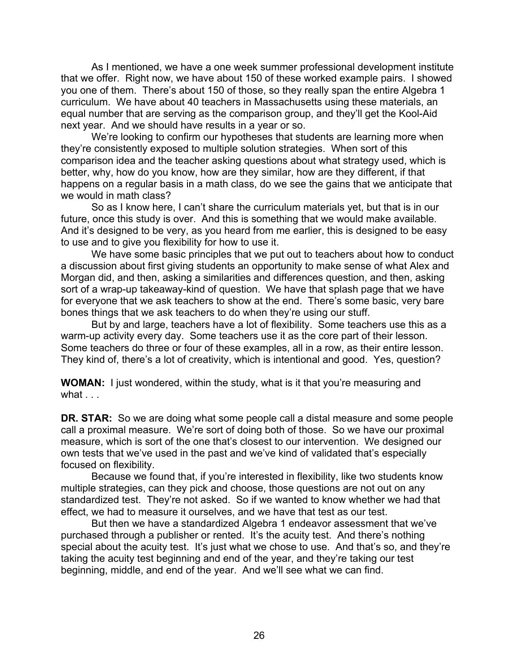As I mentioned, we have a one week summer professional development institute that we offer. Right now, we have about 150 of these worked example pairs. I showed you one of them. There's about 150 of those, so they really span the entire Algebra 1 curriculum. We have about 40 teachers in Massachusetts using these materials, an equal number that are serving as the comparison group, and they'll get the Kool-Aid next year. And we should have results in a year or so.

We're looking to confirm our hypotheses that students are learning more when they're consistently exposed to multiple solution strategies. When sort of this comparison idea and the teacher asking questions about what strategy used, which is better, why, how do you know, how are they similar, how are they different, if that happens on a regular basis in a math class, do we see the gains that we anticipate that we would in math class?

So as I know here, I can't share the curriculum materials yet, but that is in our future, once this study is over. And this is something that we would make available. And it's designed to be very, as you heard from me earlier, this is designed to be easy to use and to give you flexibility for how to use it.

We have some basic principles that we put out to teachers about how to conduct a discussion about first giving students an opportunity to make sense of what Alex and Morgan did, and then, asking a similarities and differences question, and then, asking sort of a wrap-up takeaway-kind of question. We have that splash page that we have for everyone that we ask teachers to show at the end. There's some basic, very bare bones things that we ask teachers to do when they're using our stuff.

But by and large, teachers have a lot of flexibility. Some teachers use this as a warm-up activity every day. Some teachers use it as the core part of their lesson. Some teachers do three or four of these examples, all in a row, as their entire lesson. They kind of, there's a lot of creativity, which is intentional and good. Yes, question?

**WOMAN:** I just wondered, within the study, what is it that you're measuring and what ...

**DR. STAR:** So we are doing what some people call a distal measure and some people call a proximal measure. We're sort of doing both of those. So we have our proximal measure, which is sort of the one that's closest to our intervention. We designed our own tests that we've used in the past and we've kind of validated that's especially focused on flexibility.

Because we found that, if you're interested in flexibility, like two students know multiple strategies, can they pick and choose, those questions are not out on any standardized test. They're not asked. So if we wanted to know whether we had that effect, we had to measure it ourselves, and we have that test as our test.

But then we have a standardized Algebra 1 endeavor assessment that we've purchased through a publisher or rented. It's the acuity test. And there's nothing special about the acuity test. It's just what we chose to use. And that's so, and they're taking the acuity test beginning and end of the year, and they're taking our test beginning, middle, and end of the year. And we'll see what we can find.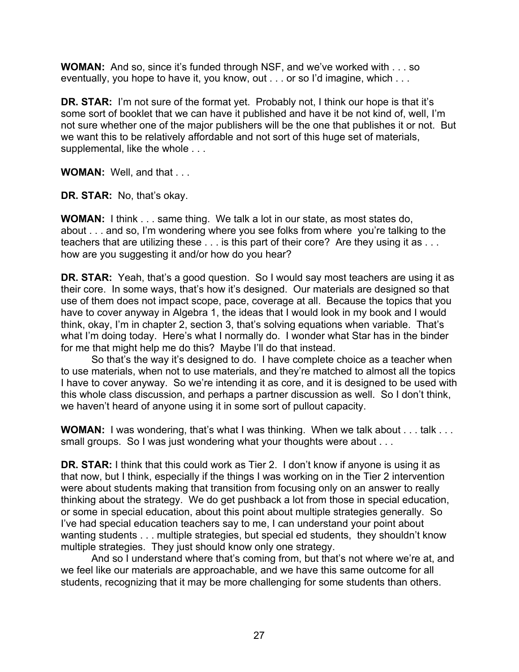**WOMAN:** And so, since it's funded through NSF, and we've worked with . . . so eventually, you hope to have it, you know, out . . . or so I'd imagine, which . . .

**DR. STAR:** I'm not sure of the format yet. Probably not, I think our hope is that it's some sort of booklet that we can have it published and have it be not kind of, well, I'm not sure whether one of the major publishers will be the one that publishes it or not. But we want this to be relatively affordable and not sort of this huge set of materials, supplemental, like the whole . . .

**WOMAN:** Well, and that . . .

**DR. STAR:** No, that's okay.

**WOMAN:** I think . . . same thing. We talk a lot in our state, as most states do, about . . . and so, I'm wondering where you see folks from where you're talking to the teachers that are utilizing these . . . is this part of their core? Are they using it as . . . how are you suggesting it and/or how do you hear?

**DR. STAR:** Yeah, that's a good question. So I would say most teachers are using it as their core. In some ways, that's how it's designed. Our materials are designed so that use of them does not impact scope, pace, coverage at all. Because the topics that you have to cover anyway in Algebra 1, the ideas that I would look in my book and I would think, okay, I'm in chapter 2, section 3, that's solving equations when variable. That's what I'm doing today. Here's what I normally do. I wonder what Star has in the binder for me that might help me do this? Maybe I'll do that instead.

So that's the way it's designed to do. I have complete choice as a teacher when to use materials, when not to use materials, and they're matched to almost all the topics I have to cover anyway. So we're intending it as core, and it is designed to be used with this whole class discussion, and perhaps a partner discussion as well. So I don't think, we haven't heard of anyone using it in some sort of pullout capacity.

**WOMAN:** I was wondering, that's what I was thinking. When we talk about . . . talk . . . small groups. So I was just wondering what your thoughts were about . . .

**DR. STAR:** I think that this could work as Tier 2. I don't know if anyone is using it as that now, but I think, especially if the things I was working on in the Tier 2 intervention were about students making that transition from focusing only on an answer to really thinking about the strategy. We do get pushback a lot from those in special education, or some in special education, about this point about multiple strategies generally. So I've had special education teachers say to me, I can understand your point about wanting students . . . multiple strategies, but special ed students, they shouldn't know multiple strategies. They just should know only one strategy.

And so I understand where that's coming from, but that's not where we're at, and we feel like our materials are approachable, and we have this same outcome for all students, recognizing that it may be more challenging for some students than others.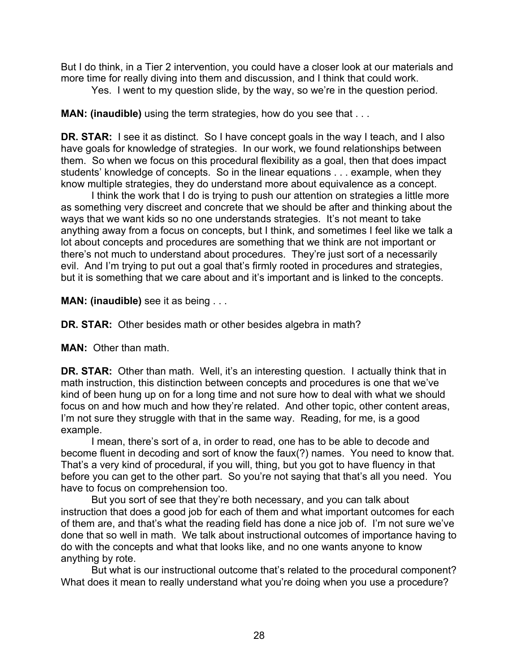But I do think, in a Tier 2 intervention, you could have a closer look at our materials and more time for really diving into them and discussion, and I think that could work.

Yes. I went to my question slide, by the way, so we're in the question period.

**MAN: (inaudible)** using the term strategies, how do you see that . . .

**DR. STAR:** I see it as distinct. So I have concept goals in the way I teach, and I also have goals for knowledge of strategies. In our work, we found relationships between them. So when we focus on this procedural flexibility as a goal, then that does impact students' knowledge of concepts. So in the linear equations . . . example, when they know multiple strategies, they do understand more about equivalence as a concept.

I think the work that I do is trying to push our attention on strategies a little more as something very discreet and concrete that we should be after and thinking about the ways that we want kids so no one understands strategies. It's not meant to take anything away from a focus on concepts, but I think, and sometimes I feel like we talk a lot about concepts and procedures are something that we think are not important or there's not much to understand about procedures. They're just sort of a necessarily evil. And I'm trying to put out a goal that's firmly rooted in procedures and strategies, but it is something that we care about and it's important and is linked to the concepts.

**MAN: (inaudible)** see it as being . . .

**DR. STAR:** Other besides math or other besides algebra in math?

**MAN:** Other than math.

**DR. STAR:** Other than math. Well, it's an interesting question. I actually think that in math instruction, this distinction between concepts and procedures is one that we've kind of been hung up on for a long time and not sure how to deal with what we should focus on and how much and how they're related. And other topic, other content areas, I'm not sure they struggle with that in the same way. Reading, for me, is a good example.

I mean, there's sort of a, in order to read, one has to be able to decode and become fluent in decoding and sort of know the faux(?) names. You need to know that. That's a very kind of procedural, if you will, thing, but you got to have fluency in that before you can get to the other part. So you're not saying that that's all you need. You have to focus on comprehension too.

But you sort of see that they're both necessary, and you can talk about instruction that does a good job for each of them and what important outcomes for each of them are, and that's what the reading field has done a nice job of. I'm not sure we've done that so well in math. We talk about instructional outcomes of importance having to do with the concepts and what that looks like, and no one wants anyone to know anything by rote.

But what is our instructional outcome that's related to the procedural component? What does it mean to really understand what you're doing when you use a procedure?